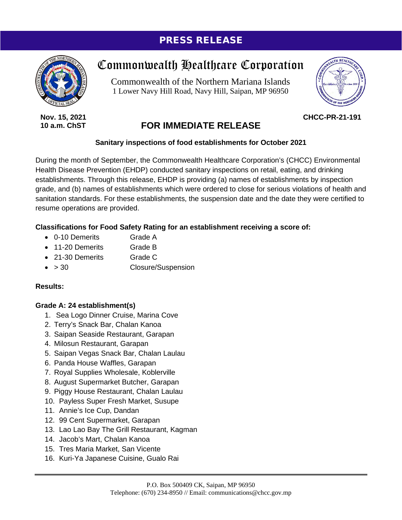### PRESS RELEASE



**Nov. 15, 2021 10 a.m. ChST**

# Commonwealth Healthcare Corporation

Commonwealth of the Northern Mariana Islands 1 Lower Navy Hill Road, Navy Hill, Saipan, MP 96950



**CHCC-PR-21-191**

## **FOR IMMEDIATE RELEASE**

#### **Sanitary inspections of food establishments for October 2021**

During the month of September, the Commonwealth Healthcare Corporation's (CHCC) Environmental Health Disease Prevention (EHDP) conducted sanitary inspections on retail, eating, and drinking establishments. Through this release, EHDP is providing (a) names of establishments by inspection grade, and (b) names of establishments which were ordered to close for serious violations of health and sanitation standards. For these establishments, the suspension date and the date they were certified to resume operations are provided.

#### **Classifications for Food Safety Rating for an establishment receiving a score of:**

- 0-10 Demerits Grade A
- 11-20 Demerits Grade B
- 21-30 Demerits Grade C
- > 30 Closure/Suspension

#### **Results:**

#### **Grade A: 24 establishment(s)**

- 1. Sea Logo Dinner Cruise, Marina Cove
- 2. Terry's Snack Bar, Chalan Kanoa
- 3. Saipan Seaside Restaurant, Garapan
- 4. Milosun Restaurant, Garapan
- 5. Saipan Vegas Snack Bar, Chalan Laulau
- 6. Panda House Waffles, Garapan
- 7. Royal Supplies Wholesale, Koblerville
- 8. August Supermarket Butcher, Garapan
- 9. Piggy House Restaurant, Chalan Laulau
- 10. Payless Super Fresh Market, Susupe
- 11. Annie's Ice Cup, Dandan
- 12. 99 Cent Supermarket, Garapan
- 13. Lao Lao Bay The Grill Restaurant, Kagman
- 14. Jacob's Mart, Chalan Kanoa
- 15. Tres Maria Market, San Vicente
- 16. Kuri-Ya Japanese Cuisine, Gualo Rai